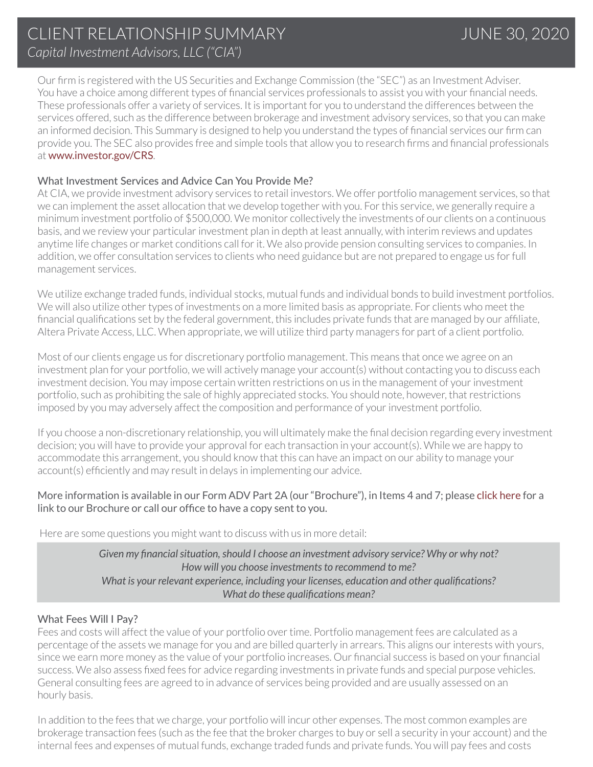Our firm is registered with the US Securities and Exchange Commission (the "SEC") as an Investment Adviser. You have a choice among different types of financial services professionals to assist you with your financial needs. These professionals offer a variety of services. It is important for you to understand the differences between the services offered, such as the difference between brokerage and investment advisory services, so that you can make an informed decision. This Summary is designed to help you understand the types of financial services our firm can provide you. The SEC also provides free and simple tools that allow you to research firms and financial professionals at [www.investor.gov/CRS](http://www.investor.gov/CRS).

### What Investment Services and Advice Can You Provide Me?

At CIA, we provide investment advisory services to retail investors. We offer portfolio management services, so that we can implement the asset allocation that we develop together with you. For this service, we generally require a minimum investment portfolio of \$500,000. We monitor collectively the investments of our clients on a continuous basis, and we review your particular investment plan in depth at least annually, with interim reviews and updates anytime life changes or market conditions call for it. We also provide pension consulting services to companies. In addition, we offer consultation services to clients who need guidance but are not prepared to engage us for full management services.

We utilize exchange traded funds, individual stocks, mutual funds and individual bonds to build investment portfolios. We will also utilize other types of investments on a more limited basis as appropriate. For clients who meet the financial qualifications set by the federal government, this includes private funds that are managed by our affiliate, Altera Private Access, LLC. When appropriate, we will utilize third party managers for part of a client portfolio.

Most of our clients engage us for discretionary portfolio management. This means that once we agree on an investment plan for your portfolio, we will actively manage your account(s) without contacting you to discuss each investment decision. You may impose certain written restrictions on us in the management of your investment portfolio, such as prohibiting the sale of highly appreciated stocks. You should note, however, that restrictions imposed by you may adversely affect the composition and performance of your investment portfolio.

If you choose a non-discretionary relationship, you will ultimately make the final decision regarding every investment decision; you will have to provide your approval for each transaction in your account(s). While we are happy to accommodate this arrangement, you should know that this can have an impact on our ability to manage your account(s) efficiently and may result in delays in implementing our advice.

#### More information is available in our Form ADV Part 2A (our "Brochure"), in Items 4 and 7; please [click here](https://adviserinfo.sec.gov/firm/summary/158055) for a link to our Brochure or call our office to have a copy sent to you.

Here are some questions you might want to discuss with us in more detail:

*Given my financial situation, should I choose an investment advisory service? Why or why not? How will you choose investments to recommend to me? What is your relevant experience, including your licenses, education and other qualifications? What do these qualifications mean?*

#### What Fees Will I Pay?

Fees and costs will affect the value of your portfolio over time. Portfolio management fees are calculated as a percentage of the assets we manage for you and are billed quarterly in arrears. This aligns our interests with yours, since we earn more money as the value of your portfolio increases. Our financial success is based on your financial success. We also assess fixed fees for advice regarding investments in private funds and special purpose vehicles. General consulting fees are agreed to in advance of services being provided and are usually assessed on an hourly basis.

In addition to the fees that we charge, your portfolio will incur other expenses. The most common examples are brokerage transaction fees (such as the fee that the broker charges to buy or sell a security in your account) and the internal fees and expenses of mutual funds, exchange traded funds and private funds. You will pay fees and costs